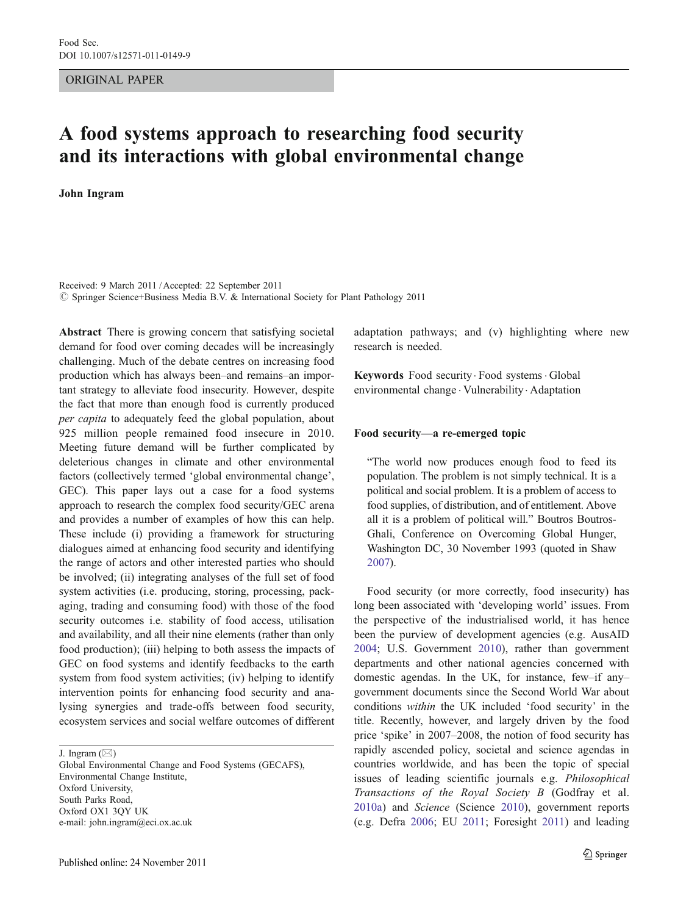## ORIGINAL PAPER

# A food systems approach to researching food security and its interactions with global environmental change

John Ingram

Received: 9 March 2011 /Accepted: 22 September 2011 © Springer Science+Business Media B.V. & International Society for Plant Pathology 2011

Abstract There is growing concern that satisfying societal demand for food over coming decades will be increasingly challenging. Much of the debate centres on increasing food production which has always been–and remains–an important strategy to alleviate food insecurity. However, despite the fact that more than enough food is currently produced per capita to adequately feed the global population, about 925 million people remained food insecure in 2010. Meeting future demand will be further complicated by deleterious changes in climate and other environmental factors (collectively termed 'global environmental change', GEC). This paper lays out a case for a food systems approach to research the complex food security/GEC arena and provides a number of examples of how this can help. These include (i) providing a framework for structuring dialogues aimed at enhancing food security and identifying the range of actors and other interested parties who should be involved; (ii) integrating analyses of the full set of food system activities (i.e. producing, storing, processing, packaging, trading and consuming food) with those of the food security outcomes i.e. stability of food access, utilisation and availability, and all their nine elements (rather than only food production); (iii) helping to both assess the impacts of GEC on food systems and identify feedbacks to the earth system from food system activities; (iv) helping to identify intervention points for enhancing food security and analysing synergies and trade-offs between food security, ecosystem services and social welfare outcomes of different

J. Ingram  $(\boxtimes)$ 

Global Environmental Change and Food Systems (GECAFS), Environmental Change Institute, Oxford University, South Parks Road, Oxford OX1 3QY UK e-mail: john.ingram@eci.ox.ac.uk

adaptation pathways; and (v) highlighting where new research is needed.

Keywords Food security. Food systems Global environmental change . Vulnerability . Adaptation

## Food security—a re-emerged topic

"The world now produces enough food to feed its population. The problem is not simply technical. It is a political and social problem. It is a problem of access to food supplies, of distribution, and of entitlement. Above all it is a problem of political will." Boutros Boutros-Ghali, Conference on Overcoming Global Hunger, Washington DC, 30 November 1993 (quoted in Shaw [2007](#page-13-0)).

Food security (or more correctly, food insecurity) has long been associated with 'developing world' issues. From the perspective of the industrialised world, it has hence been the purview of development agencies (e.g. AusAID [2004](#page-12-0); U.S. Government [2010\)](#page-13-0), rather than government departments and other national agencies concerned with domestic agendas. In the UK, for instance, few–if any– government documents since the Second World War about conditions within the UK included 'food security' in the title. Recently, however, and largely driven by the food price 'spike' in 2007–2008, the notion of food security has rapidly ascended policy, societal and science agendas in countries worldwide, and has been the topic of special issues of leading scientific journals e.g. Philosophical Transactions of the Royal Society B (Godfray et al. [2010a](#page-12-0)) and Science (Science [2010](#page-13-0)), government reports (e.g. Defra [2006](#page-12-0); EU [2011;](#page-12-0) Foresight [2011](#page-12-0)) and leading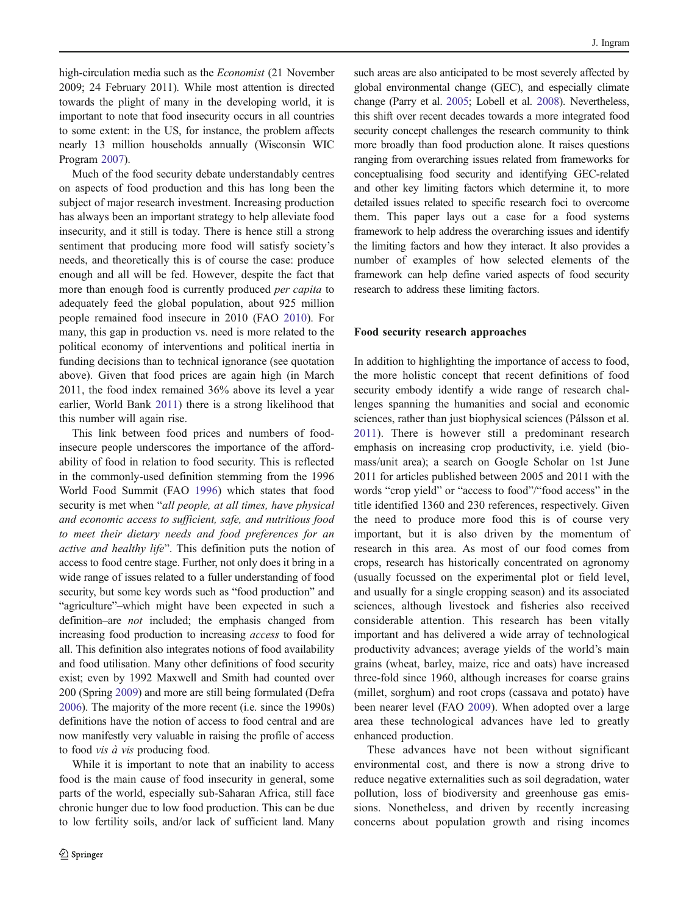high-circulation media such as the *Economist* (21 November 2009; 24 February 2011). While most attention is directed towards the plight of many in the developing world, it is important to note that food insecurity occurs in all countries to some extent: in the US, for instance, the problem affects nearly 13 million households annually (Wisconsin WIC Program [2007](#page-13-0)).

Much of the food security debate understandably centres on aspects of food production and this has long been the subject of major research investment. Increasing production has always been an important strategy to help alleviate food insecurity, and it still is today. There is hence still a strong sentiment that producing more food will satisfy society's needs, and theoretically this is of course the case: produce enough and all will be fed. However, despite the fact that more than enough food is currently produced *per capita* to adequately feed the global population, about 925 million people remained food insecure in 2010 (FAO [2010](#page-12-0)). For many, this gap in production vs. need is more related to the political economy of interventions and political inertia in funding decisions than to technical ignorance (see quotation above). Given that food prices are again high (in March 2011, the food index remained 36% above its level a year earlier, World Bank [2011](#page-13-0)) there is a strong likelihood that this number will again rise.

This link between food prices and numbers of foodinsecure people underscores the importance of the affordability of food in relation to food security. This is reflected in the commonly-used definition stemming from the 1996 World Food Summit (FAO [1996](#page-12-0)) which states that food security is met when "all people, at all times, have physical and economic access to sufficient, safe, and nutritious food to meet their dietary needs and food preferences for an active and healthy life". This definition puts the notion of access to food centre stage. Further, not only does it bring in a wide range of issues related to a fuller understanding of food security, but some key words such as "food production" and "agriculture"–which might have been expected in such a definition–are not included; the emphasis changed from increasing food production to increasing access to food for all. This definition also integrates notions of food availability and food utilisation. Many other definitions of food security exist; even by 1992 Maxwell and Smith had counted over 200 (Spring [2009](#page-13-0)) and more are still being formulated (Defra [2006\)](#page-12-0). The majority of the more recent (i.e. since the 1990s) definitions have the notion of access to food central and are now manifestly very valuable in raising the profile of access to food vis à vis producing food.

While it is important to note that an inability to access food is the main cause of food insecurity in general, some parts of the world, especially sub-Saharan Africa, still face chronic hunger due to low food production. This can be due to low fertility soils, and/or lack of sufficient land. Many such areas are also anticipated to be most severely affected by global environmental change (GEC), and especially climate change (Parry et al. [2005](#page-13-0); Lobell et al. [2008\)](#page-13-0). Nevertheless, this shift over recent decades towards a more integrated food security concept challenges the research community to think more broadly than food production alone. It raises questions ranging from overarching issues related from frameworks for conceptualising food security and identifying GEC-related and other key limiting factors which determine it, to more detailed issues related to specific research foci to overcome them. This paper lays out a case for a food systems framework to help address the overarching issues and identify the limiting factors and how they interact. It also provides a number of examples of how selected elements of the framework can help define varied aspects of food security research to address these limiting factors.

### Food security research approaches

In addition to highlighting the importance of access to food, the more holistic concept that recent definitions of food security embody identify a wide range of research challenges spanning the humanities and social and economic sciences, rather than just biophysical sciences (Pálsson et al. [2011](#page-13-0)). There is however still a predominant research emphasis on increasing crop productivity, i.e. yield (biomass/unit area); a search on Google Scholar on 1st June 2011 for articles published between 2005 and 2011 with the words "crop yield" or "access to food"/"food access" in the title identified 1360 and 230 references, respectively. Given the need to produce more food this is of course very important, but it is also driven by the momentum of research in this area. As most of our food comes from crops, research has historically concentrated on agronomy (usually focussed on the experimental plot or field level, and usually for a single cropping season) and its associated sciences, although livestock and fisheries also received considerable attention. This research has been vitally important and has delivered a wide array of technological productivity advances; average yields of the world's main grains (wheat, barley, maize, rice and oats) have increased three-fold since 1960, although increases for coarse grains (millet, sorghum) and root crops (cassava and potato) have been nearer level (FAO [2009\)](#page-12-0). When adopted over a large area these technological advances have led to greatly enhanced production.

These advances have not been without significant environmental cost, and there is now a strong drive to reduce negative externalities such as soil degradation, water pollution, loss of biodiversity and greenhouse gas emissions. Nonetheless, and driven by recently increasing concerns about population growth and rising incomes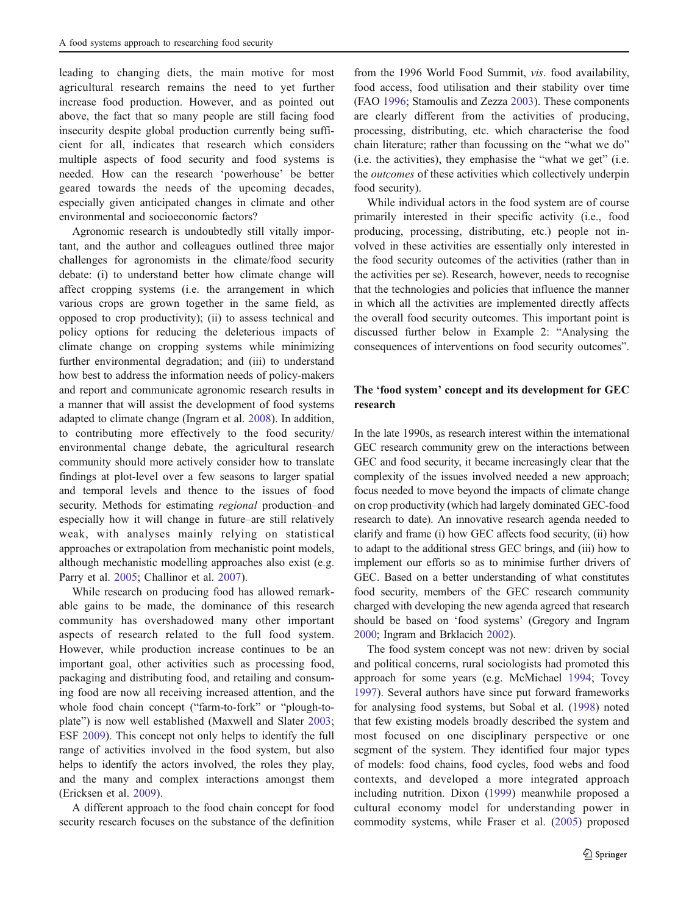leading to changing diets, the main motive for most agricultural research remains the need to yet further increase food production. However, and as pointed out above, the fact that so many people are still facing food insecurity despite global production currently being sufficient for all, indicates that research which considers multiple aspects of food security and food systems is needed. How can the research 'powerhouse' be better geared towards the needs of the upcoming decades, especially given anticipated changes in climate and other environmental and socioeconomic factors?

Agronomic research is undoubtedly still vitally important, and the author and colleagues outlined three major challenges for agronomists in the climate/food security debate: (i) to understand better how climate change will affect cropping systems (i.e. the arrangement in which various crops are grown together in the same field, as opposed to crop productivity); (ii) to assess technical and policy options for reducing the deleterious impacts of climate change on cropping systems while minimizing further environmental degradation; and (iii) to understand how best to address the information needs of policy-makers and report and communicate agronomic research results in a manner that will assist the development of food systems adapted to climate change (Ingram et al. [2008\)](#page-13-0). In addition, to contributing more effectively to the food security/ environmental change debate, the agricultural research community should more actively consider how to translate findings at plot-level over a few seasons to larger spatial and temporal levels and thence to the issues of food security. Methods for estimating regional production-and especially how it will change in future–are still relatively weak, with analyses mainly relying on statistical approaches or extrapolation from mechanistic point models, although mechanistic modelling approaches also exist (e.g. Parry et al. [2005;](#page-13-0) Challinor et al. [2007\)](#page-12-0).

While research on producing food has allowed remarkable gains to be made, the dominance of this research community has overshadowed many other important aspects of research related to the full food system. However, while production increase continues to be an important goal, other activities such as processing food, packaging and distributing food, and retailing and consuming food are now all receiving increased attention, and the whole food chain concept ("farm-to-fork" or "plough-toplate") is now well established (Maxwell and Slater [2003](#page-13-0); ESF [2009](#page-12-0)). This concept not only helps to identify the full range of activities involved in the food system, but also helps to identify the actors involved, the roles they play, and the many and complex interactions amongst them (Ericksen et al. [2009](#page-12-0)).

A different approach to the food chain concept for food security research focuses on the substance of the definition

from the 1996 World Food Summit, vis. food availability, food access, food utilisation and their stability over time (FAO [1996](#page-12-0); Stamoulis and Zezza [2003\)](#page-13-0). These components are clearly different from the activities of producing, processing, distributing, etc. which characterise the food chain literature; rather than focussing on the "what we do" (i.e. the activities), they emphasise the "what we get" (i.e. the outcomes of these activities which collectively underpin food security).

While individual actors in the food system are of course primarily interested in their specific activity (i.e., food producing, processing, distributing, etc.) people not involved in these activities are essentially only interested in the food security outcomes of the activities (rather than in the activities per se). Research, however, needs to recognise that the technologies and policies that influence the manner in which all the activities are implemented directly affects the overall food security outcomes. This important point is discussed further below in Example 2: "Analysing the consequences of interventions on food security outcomes".

# The 'food system' concept and its development for GEC research

In the late 1990s, as research interest within the international GEC research community grew on the interactions between GEC and food security, it became increasingly clear that the complexity of the issues involved needed a new approach; focus needed to move beyond the impacts of climate change on crop productivity (which had largely dominated GEC-food research to date). An innovative research agenda needed to clarify and frame (i) how GEC affects food security, (ii) how to adapt to the additional stress GEC brings, and (iii) how to implement our efforts so as to minimise further drivers of GEC. Based on a better understanding of what constitutes food security, members of the GEC research community charged with developing the new agenda agreed that research should be based on 'food systems' (Gregory and Ingram [2000;](#page-13-0) Ingram and Brklacich [2002](#page-13-0)).

The food system concept was not new: driven by social and political concerns, rural sociologists had promoted this approach for some years (e.g. McMichael [1994](#page-13-0); Tovey [1997](#page-13-0)). Several authors have since put forward frameworks for analysing food systems, but Sobal et al. ([1998\)](#page-13-0) noted that few existing models broadly described the system and most focused on one disciplinary perspective or one segment of the system. They identified four major types of models: food chains, food cycles, food webs and food contexts, and developed a more integrated approach including nutrition. Dixon ([1999](#page-12-0)) meanwhile proposed a cultural economy model for understanding power in commodity systems, while Fraser et al. ([2005\)](#page-12-0) proposed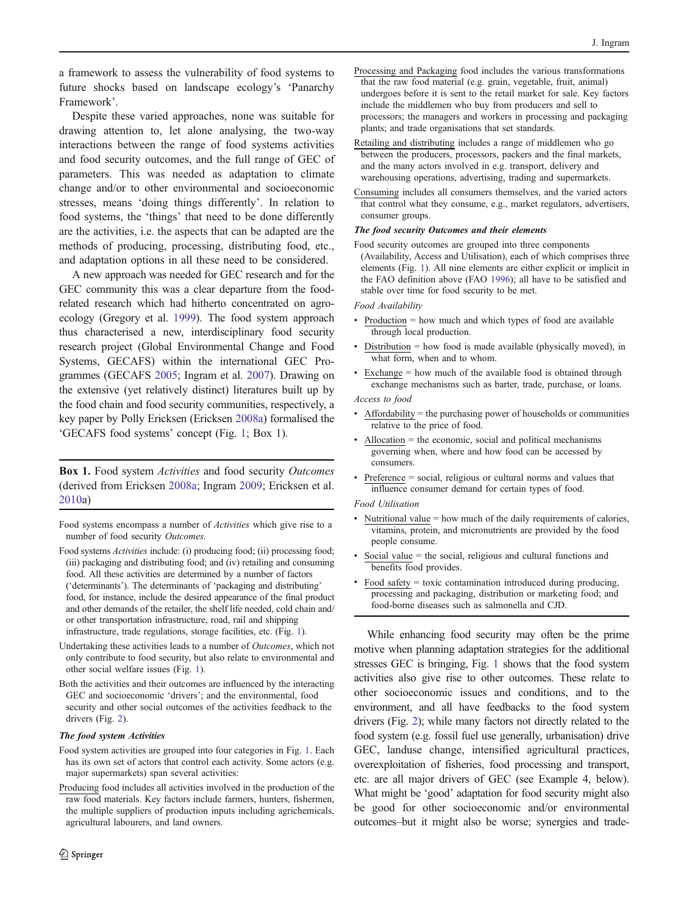a framework to assess the vulnerability of food systems to future shocks based on landscape ecology's 'Panarchy Framework'.

Despite these varied approaches, none was suitable for drawing attention to, let alone analysing, the two-way interactions between the range of food systems activities and food security outcomes, and the full range of GEC of parameters. This was needed as adaptation to climate change and/or to other environmental and socioeconomic stresses, means 'doing things differently'. In relation to food systems, the 'things' that need to be done differently are the activities, i.e. the aspects that can be adapted are the methods of producing, processing, distributing food, etc., and adaptation options in all these need to be considered.

A new approach was needed for GEC research and for the GEC community this was a clear departure from the foodrelated research which had hitherto concentrated on agroecology (Gregory et al. [1999](#page-13-0)). The food system approach thus characterised a new, interdisciplinary food security research project (Global Environmental Change and Food Systems, GECAFS) within the international GEC Programmes (GECAFS [2005](#page-12-0); Ingram et al. [2007](#page-13-0)). Drawing on the extensive (yet relatively distinct) literatures built up by the food chain and food security communities, respectively, a key paper by Polly Ericksen (Ericksen [2008a\)](#page-12-0) formalised the 'GECAFS food systems' concept (Fig. [1;](#page-4-0) Box 1).

Box 1. Food system Activities and food security Outcomes (derived from Ericksen [2008a](#page-12-0); Ingram [2009;](#page-13-0) Ericksen et al. [2010a](#page-12-0))

Food systems encompass a number of Activities which give rise to a number of food security Outcomes.

- Food systems *Activities* include: (i) producing food; (ii) processing food; (iii) packaging and distributing food; and (iv) retailing and consuming food. All these activities are determined by a number of factors ('determinants'). The determinants of 'packaging and distributing' food, for instance, include the desired appearance of the final product and other demands of the retailer, the shelf life needed, cold chain and/ or other transportation infrastructure, road, rail and shipping infrastructure, trade regulations, storage facilities, etc. (Fig. [1\)](#page-4-0).
- Undertaking these activities leads to a number of Outcomes, which not only contribute to food security, but also relate to environmental and other social welfare issues (Fig. [1\)](#page-4-0).
- Both the activities and their outcomes are influenced by the interacting GEC and socioeconomic 'drivers'; and the environmental, food security and other social outcomes of the activities feedback to the drivers (Fig. [2](#page-4-0)).

#### The food system Activities

- Food system activities are grouped into four categories in Fig. [1.](#page-4-0) Each has its own set of actors that control each activity. Some actors (e.g. major supermarkets) span several activities:
- Producing food includes all activities involved in the production of the raw food materials. Key factors include farmers, hunters, fishermen, the multiple suppliers of production inputs including agrichemicals, agricultural labourers, and land owners.
- Processing and Packaging food includes the various transformations that the raw food material (e.g. grain, vegetable, fruit, animal) undergoes before it is sent to the retail market for sale. Key factors include the middlemen who buy from producers and sell to processors; the managers and workers in processing and packaging plants; and trade organisations that set standards.
- Retailing and distributing includes a range of middlemen who go between the producers, processors, packers and the final markets, and the many actors involved in e.g. transport, delivery and warehousing operations, advertising, trading and supermarkets.
- Consuming includes all consumers themselves, and the varied actors that control what they consume, e.g., market regulators, advertisers, consumer groups.

#### The food security Outcomes and their elements

Food security outcomes are grouped into three components (Availability, Access and Utilisation), each of which comprises three elements (Fig. [1\)](#page-4-0). All nine elements are either explicit or implicit in the FAO definition above (FAO [1996](#page-12-0)); all have to be satisfied and stable over time for food security to be met.

#### Food Availability

- Production  $=$  how much and which types of food are available through local production.
- Distribution = how food is made available (physically moved), in what form, when and to whom.
- Exchange = how much of the available food is obtained through exchange mechanisms such as barter, trade, purchase, or loans.

Access to food

- Affordability = the purchasing power of households or communities relative to the price of food.
- Allocation = the economic, social and political mechanisms governing when, where and how food can be accessed by consumers.
- Preference = social, religious or cultural norms and values that influence consumer demand for certain types of food.

#### Food Utilisation

- Nutritional value = how much of the daily requirements of calories, vitamins, protein, and micronutrients are provided by the food people consume.
- Social value  $=$  the social, religious and cultural functions and benefits food provides.
- Food safety  $=$  toxic contamination introduced during producing, processing and packaging, distribution or marketing food; and food-borne diseases such as salmonella and CJD.

While enhancing food security may often be the prime motive when planning adaptation strategies for the additional stresses GEC is bringing, Fig. [1](#page-4-0) shows that the food system activities also give rise to other outcomes. These relate to other socioeconomic issues and conditions, and to the environment, and all have feedbacks to the food system drivers (Fig. [2](#page-4-0)); while many factors not directly related to the food system (e.g. fossil fuel use generally, urbanisation) drive GEC, landuse change, intensified agricultural practices, overexploitation of fisheries, food processing and transport, etc. are all major drivers of GEC (see Example 4, below). What might be 'good' adaptation for food security might also be good for other socioeconomic and/or environmental outcomes–but it might also be worse; synergies and trade-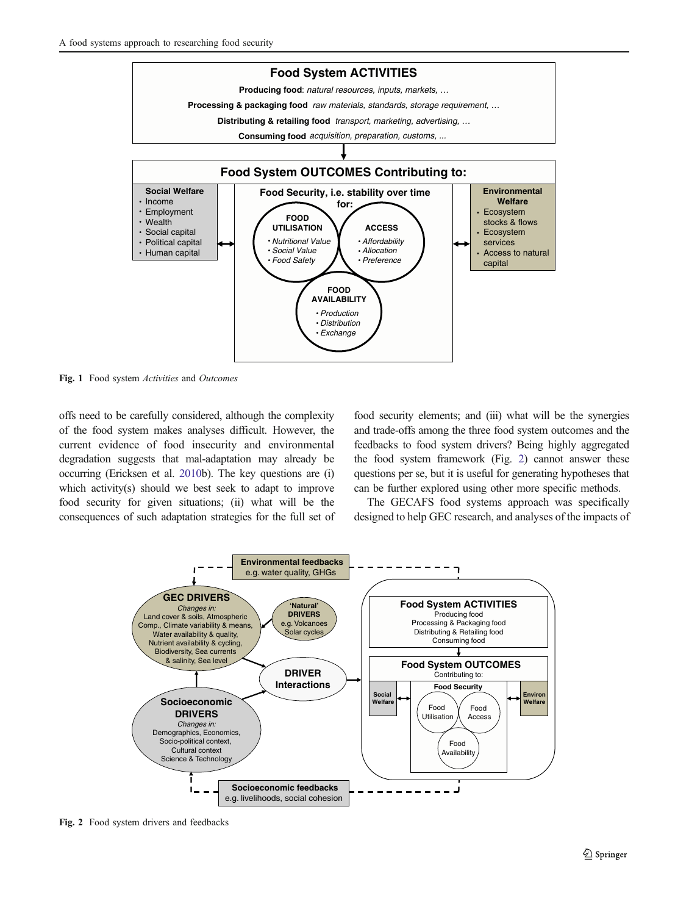<span id="page-4-0"></span>

Fig. 1 Food system Activities and Outcomes

offs need to be carefully considered, although the complexity of the food system makes analyses difficult. However, the current evidence of food insecurity and environmental degradation suggests that mal-adaptation may already be occurring (Ericksen et al. [2010](#page-12-0)b). The key questions are (i) which activity(s) should we best seek to adapt to improve food security for given situations; (ii) what will be the consequences of such adaptation strategies for the full set of

food security elements; and (iii) what will be the synergies and trade-offs among the three food system outcomes and the feedbacks to food system drivers? Being highly aggregated the food system framework (Fig. 2) cannot answer these questions per se, but it is useful for generating hypotheses that can be further explored using other more specific methods.

The GECAFS food systems approach was specifically designed to help GEC research, and analyses of the impacts of



Fig. 2 Food system drivers and feedbacks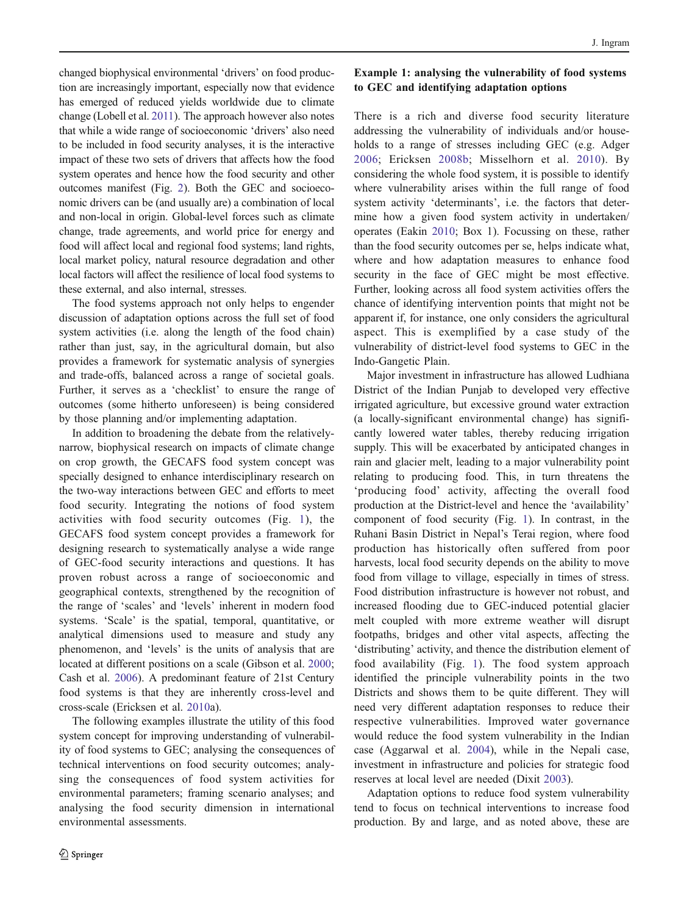changed biophysical environmental 'drivers' on food production are increasingly important, especially now that evidence has emerged of reduced yields worldwide due to climate change (Lobell et al. [2011](#page-13-0)). The approach however also notes that while a wide range of socioeconomic 'drivers' also need to be included in food security analyses, it is the interactive impact of these two sets of drivers that affects how the food system operates and hence how the food security and other outcomes manifest (Fig. [2\)](#page-4-0). Both the GEC and socioeconomic drivers can be (and usually are) a combination of local and non-local in origin. Global-level forces such as climate change, trade agreements, and world price for energy and food will affect local and regional food systems; land rights, local market policy, natural resource degradation and other local factors will affect the resilience of local food systems to these external, and also internal, stresses.

The food systems approach not only helps to engender discussion of adaptation options across the full set of food system activities (i.e. along the length of the food chain) rather than just, say, in the agricultural domain, but also provides a framework for systematic analysis of synergies and trade-offs, balanced across a range of societal goals. Further, it serves as a 'checklist' to ensure the range of outcomes (some hitherto unforeseen) is being considered by those planning and/or implementing adaptation.

In addition to broadening the debate from the relativelynarrow, biophysical research on impacts of climate change on crop growth, the GECAFS food system concept was specially designed to enhance interdisciplinary research on the two-way interactions between GEC and efforts to meet food security. Integrating the notions of food system activities with food security outcomes (Fig. [1\)](#page-4-0), the GECAFS food system concept provides a framework for designing research to systematically analyse a wide range of GEC-food security interactions and questions. It has proven robust across a range of socioeconomic and geographical contexts, strengthened by the recognition of the range of 'scales' and 'levels' inherent in modern food systems. 'Scale' is the spatial, temporal, quantitative, or analytical dimensions used to measure and study any phenomenon, and 'levels' is the units of analysis that are located at different positions on a scale (Gibson et al. [2000](#page-12-0); Cash et al. [2006](#page-12-0)). A predominant feature of 21st Century food systems is that they are inherently cross-level and cross-scale (Ericksen et al. [2010a](#page-12-0)).

The following examples illustrate the utility of this food system concept for improving understanding of vulnerability of food systems to GEC; analysing the consequences of technical interventions on food security outcomes; analysing the consequences of food system activities for environmental parameters; framing scenario analyses; and analysing the food security dimension in international environmental assessments.

# Example 1: analysing the vulnerability of food systems to GEC and identifying adaptation options

There is a rich and diverse food security literature addressing the vulnerability of individuals and/or households to a range of stresses including GEC (e.g. Adger [2006](#page-12-0); Ericksen [2008b](#page-12-0); Misselhorn et al. [2010\)](#page-13-0). By considering the whole food system, it is possible to identify where vulnerability arises within the full range of food system activity 'determinants', i.e. the factors that determine how a given food system activity in undertaken/ operates (Eakin [2010;](#page-12-0) Box 1). Focussing on these, rather than the food security outcomes per se, helps indicate what, where and how adaptation measures to enhance food security in the face of GEC might be most effective. Further, looking across all food system activities offers the chance of identifying intervention points that might not be apparent if, for instance, one only considers the agricultural aspect. This is exemplified by a case study of the vulnerability of district-level food systems to GEC in the Indo-Gangetic Plain.

Major investment in infrastructure has allowed Ludhiana District of the Indian Punjab to developed very effective irrigated agriculture, but excessive ground water extraction (a locally-significant environmental change) has significantly lowered water tables, thereby reducing irrigation supply. This will be exacerbated by anticipated changes in rain and glacier melt, leading to a major vulnerability point relating to producing food. This, in turn threatens the 'producing food' activity, affecting the overall food production at the District-level and hence the 'availability' component of food security (Fig. [1\)](#page-4-0). In contrast, in the Ruhani Basin District in Nepal's Terai region, where food production has historically often suffered from poor harvests, local food security depends on the ability to move food from village to village, especially in times of stress. Food distribution infrastructure is however not robust, and increased flooding due to GEC-induced potential glacier melt coupled with more extreme weather will disrupt footpaths, bridges and other vital aspects, affecting the 'distributing' activity, and thence the distribution element of food availability (Fig. [1\)](#page-4-0). The food system approach identified the principle vulnerability points in the two Districts and shows them to be quite different. They will need very different adaptation responses to reduce their respective vulnerabilities. Improved water governance would reduce the food system vulnerability in the Indian case (Aggarwal et al. [2004\)](#page-12-0), while in the Nepali case, investment in infrastructure and policies for strategic food reserves at local level are needed (Dixit [2003](#page-12-0)).

Adaptation options to reduce food system vulnerability tend to focus on technical interventions to increase food production. By and large, and as noted above, these are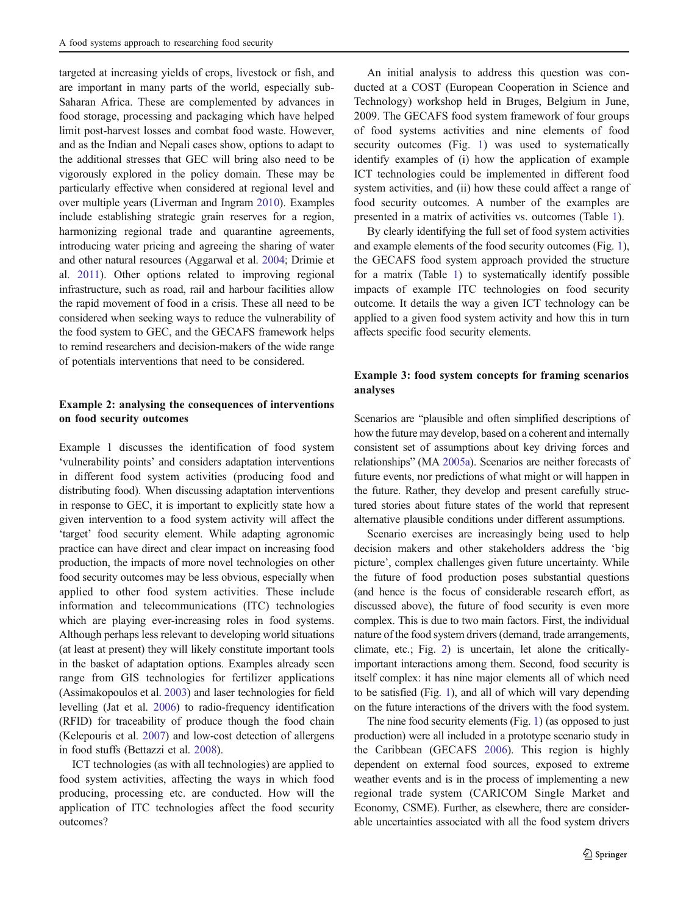targeted at increasing yields of crops, livestock or fish, and are important in many parts of the world, especially sub-Saharan Africa. These are complemented by advances in food storage, processing and packaging which have helped limit post-harvest losses and combat food waste. However, and as the Indian and Nepali cases show, options to adapt to the additional stresses that GEC will bring also need to be vigorously explored in the policy domain. These may be particularly effective when considered at regional level and over multiple years (Liverman and Ingram [2010\)](#page-13-0). Examples include establishing strategic grain reserves for a region, harmonizing regional trade and quarantine agreements, introducing water pricing and agreeing the sharing of water and other natural resources (Aggarwal et al. [2004](#page-12-0); Drimie et al. [2011](#page-12-0)). Other options related to improving regional infrastructure, such as road, rail and harbour facilities allow the rapid movement of food in a crisis. These all need to be considered when seeking ways to reduce the vulnerability of the food system to GEC, and the GECAFS framework helps to remind researchers and decision-makers of the wide range of potentials interventions that need to be considered.

## Example 2: analysing the consequences of interventions on food security outcomes

Example 1 discusses the identification of food system 'vulnerability points' and considers adaptation interventions in different food system activities (producing food and distributing food). When discussing adaptation interventions in response to GEC, it is important to explicitly state how a given intervention to a food system activity will affect the 'target' food security element. While adapting agronomic practice can have direct and clear impact on increasing food production, the impacts of more novel technologies on other food security outcomes may be less obvious, especially when applied to other food system activities. These include information and telecommunications (ITC) technologies which are playing ever-increasing roles in food systems. Although perhaps less relevant to developing world situations (at least at present) they will likely constitute important tools in the basket of adaptation options. Examples already seen range from GIS technologies for fertilizer applications (Assimakopoulos et al. [2003\)](#page-12-0) and laser technologies for field levelling (Jat et al. [2006](#page-13-0)) to radio-frequency identification (RFID) for traceability of produce though the food chain (Kelepouris et al. [2007\)](#page-13-0) and low-cost detection of allergens in food stuffs (Bettazzi et al. [2008](#page-12-0)).

ICT technologies (as with all technologies) are applied to food system activities, affecting the ways in which food producing, processing etc. are conducted. How will the application of ITC technologies affect the food security outcomes?

An initial analysis to address this question was conducted at a COST (European Cooperation in Science and Technology) workshop held in Bruges, Belgium in June, 2009. The GECAFS food system framework of four groups of food systems activities and nine elements of food security outcomes (Fig. [1](#page-4-0)) was used to systematically identify examples of (i) how the application of example ICT technologies could be implemented in different food system activities, and (ii) how these could affect a range of food security outcomes. A number of the examples are presented in a matrix of activities vs. outcomes (Table [1](#page-7-0)).

By clearly identifying the full set of food system activities and example elements of the food security outcomes (Fig. [1\)](#page-4-0), the GECAFS food system approach provided the structure for a matrix (Table [1\)](#page-7-0) to systematically identify possible impacts of example ITC technologies on food security outcome. It details the way a given ICT technology can be applied to a given food system activity and how this in turn affects specific food security elements.

# Example 3: food system concepts for framing scenarios analyses

Scenarios are "plausible and often simplified descriptions of how the future may develop, based on a coherent and internally consistent set of assumptions about key driving forces and relationships" (MA [2005a](#page-13-0)). Scenarios are neither forecasts of future events, nor predictions of what might or will happen in the future. Rather, they develop and present carefully structured stories about future states of the world that represent alternative plausible conditions under different assumptions.

Scenario exercises are increasingly being used to help decision makers and other stakeholders address the 'big picture', complex challenges given future uncertainty. While the future of food production poses substantial questions (and hence is the focus of considerable research effort, as discussed above), the future of food security is even more complex. This is due to two main factors. First, the individual nature of the food system drivers (demand, trade arrangements, climate, etc.; Fig. [2\)](#page-4-0) is uncertain, let alone the criticallyimportant interactions among them. Second, food security is itself complex: it has nine major elements all of which need to be satisfied (Fig. [1\)](#page-4-0), and all of which will vary depending on the future interactions of the drivers with the food system.

The nine food security elements (Fig. [1](#page-4-0)) (as opposed to just production) were all included in a prototype scenario study in the Caribbean (GECAFS [2006\)](#page-12-0). This region is highly dependent on external food sources, exposed to extreme weather events and is in the process of implementing a new regional trade system (CARICOM Single Market and Economy, CSME). Further, as elsewhere, there are considerable uncertainties associated with all the food system drivers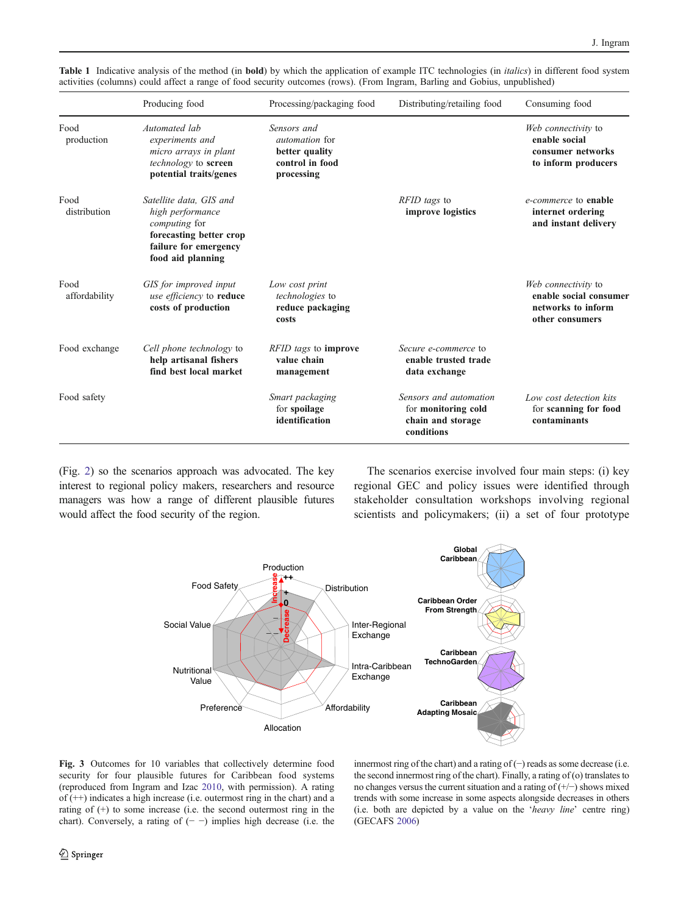|                       | Producing food                                                                                                                               | Processing/packaging food                                                               | Distributing/retailing food                                                      | Consuming food                                                                         |
|-----------------------|----------------------------------------------------------------------------------------------------------------------------------------------|-----------------------------------------------------------------------------------------|----------------------------------------------------------------------------------|----------------------------------------------------------------------------------------|
| Food<br>production    | Automated lab<br>experiments and<br>micro arrays in plant<br><i>technology</i> to <b>screen</b><br>potential traits/genes                    | Sensors and<br><i>automation</i> for<br>better quality<br>control in food<br>processing |                                                                                  | Web connectivity to<br>enable social<br>consumer networks<br>to inform producers       |
| Food<br>distribution  | Satellite data, GIS and<br>high performance<br><i>computing</i> for<br>forecasting better crop<br>failure for emergency<br>food aid planning |                                                                                         | <i>RFID tags to</i><br>improve logistics                                         | <i>e-commerce</i> to <b>enable</b><br>internet ordering<br>and instant delivery        |
| Food<br>affordability | GIS for improved input<br>use efficiency to reduce<br>costs of production                                                                    | Low cost print<br><i>technologies</i> to<br>reduce packaging<br>costs                   |                                                                                  | Web connectivity to<br>enable social consumer<br>networks to inform<br>other consumers |
| Food exchange         | Cell phone technology to<br>help artisanal fishers<br>find best local market                                                                 | <i>RFID tags</i> to <b>improve</b><br>value chain<br>management                         | Secure e-commerce to<br>enable trusted trade<br>data exchange                    |                                                                                        |
| Food safety           |                                                                                                                                              | Smart packaging<br>for spoilage<br>identification                                       | Sensors and automation<br>for monitoring cold<br>chain and storage<br>conditions | Low cost detection kits<br>for scanning for food<br>contaminants                       |

<span id="page-7-0"></span>Table 1 Indicative analysis of the method (in bold) by which the application of example ITC technologies (in *italics*) in different food system activities (columns) could affect a range of food security outcomes (rows). (From Ingram, Barling and Gobius, unpublished)

(Fig. [2](#page-4-0)) so the scenarios approach was advocated. The key interest to regional policy makers, researchers and resource managers was how a range of different plausible futures would affect the food security of the region.

The scenarios exercise involved four main steps: (i) key regional GEC and policy issues were identified through stakeholder consultation workshops involving regional scientists and policymakers; (ii) a set of four prototype



Fig. 3 Outcomes for 10 variables that collectively determine food security for four plausible futures for Caribbean food systems (reproduced from Ingram and Izac [2010,](#page-13-0) with permission). A rating of (++) indicates a high increase (i.e. outermost ring in the chart) and a rating of (+) to some increase (i.e. the second outermost ring in the chart). Conversely, a rating of  $(- -)$  implies high decrease (i.e. the innermost ring of the chart) and a rating of (−) reads as some decrease (i.e. the second innermost ring of the chart). Finally, a rating of (o) translates to no changes versus the current situation and a rating of (+/−) shows mixed trends with some increase in some aspects alongside decreases in others (i.e. both are depicted by a value on the 'heavy line' centre ring) (GECAFS [2006\)](#page-12-0)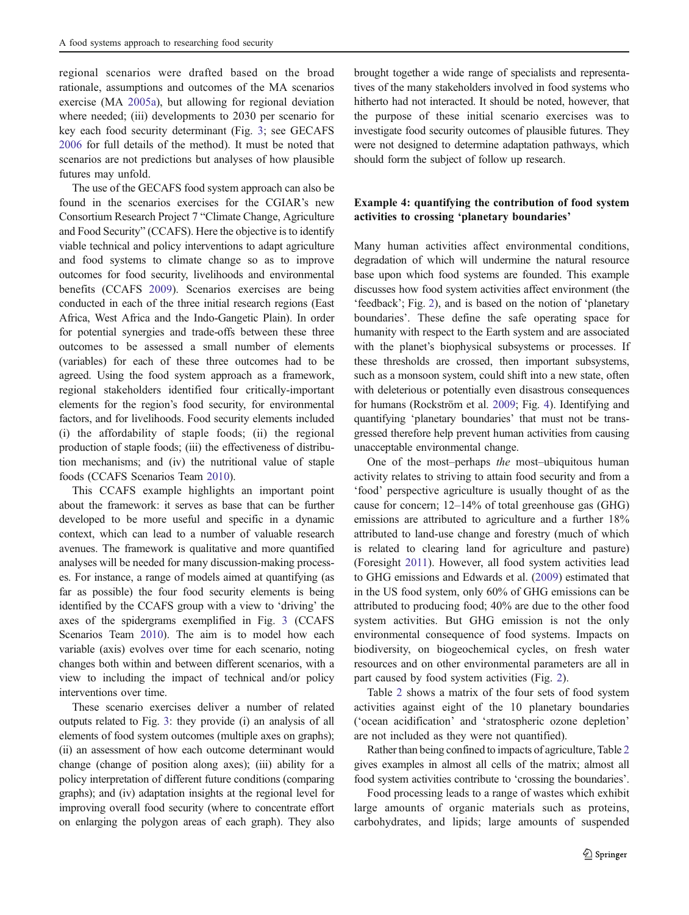regional scenarios were drafted based on the broad rationale, assumptions and outcomes of the MA scenarios exercise (MA [2005a](#page-13-0)), but allowing for regional deviation where needed; (iii) developments to 2030 per scenario for key each food security determinant (Fig. [3;](#page-7-0) see GECAFS [2006](#page-12-0) for full details of the method). It must be noted that scenarios are not predictions but analyses of how plausible futures may unfold.

The use of the GECAFS food system approach can also be found in the scenarios exercises for the CGIAR's new Consortium Research Project 7 "Climate Change, Agriculture and Food Security" (CCAFS). Here the objective is to identify viable technical and policy interventions to adapt agriculture and food systems to climate change so as to improve outcomes for food security, livelihoods and environmental benefits (CCAFS [2009\)](#page-12-0). Scenarios exercises are being conducted in each of the three initial research regions (East Africa, West Africa and the Indo-Gangetic Plain). In order for potential synergies and trade-offs between these three outcomes to be assessed a small number of elements (variables) for each of these three outcomes had to be agreed. Using the food system approach as a framework, regional stakeholders identified four critically-important elements for the region's food security, for environmental factors, and for livelihoods. Food security elements included (i) the affordability of staple foods; (ii) the regional production of staple foods; (iii) the effectiveness of distribution mechanisms; and (iv) the nutritional value of staple foods (CCAFS Scenarios Team [2010](#page-12-0)).

This CCAFS example highlights an important point about the framework: it serves as base that can be further developed to be more useful and specific in a dynamic context, which can lead to a number of valuable research avenues. The framework is qualitative and more quantified analyses will be needed for many discussion-making processes. For instance, a range of models aimed at quantifying (as far as possible) the four food security elements is being identified by the CCAFS group with a view to 'driving' the axes of the spidergrams exemplified in Fig. [3](#page-7-0) (CCAFS Scenarios Team [2010\)](#page-12-0). The aim is to model how each variable (axis) evolves over time for each scenario, noting changes both within and between different scenarios, with a view to including the impact of technical and/or policy interventions over time.

These scenario exercises deliver a number of related outputs related to Fig. [3](#page-7-0): they provide (i) an analysis of all elements of food system outcomes (multiple axes on graphs); (ii) an assessment of how each outcome determinant would change (change of position along axes); (iii) ability for a policy interpretation of different future conditions (comparing graphs); and (iv) adaptation insights at the regional level for improving overall food security (where to concentrate effort on enlarging the polygon areas of each graph). They also

brought together a wide range of specialists and representatives of the many stakeholders involved in food systems who hitherto had not interacted. It should be noted, however, that the purpose of these initial scenario exercises was to investigate food security outcomes of plausible futures. They were not designed to determine adaptation pathways, which should form the subject of follow up research.

# Example 4: quantifying the contribution of food system activities to crossing 'planetary boundaries'

Many human activities affect environmental conditions, degradation of which will undermine the natural resource base upon which food systems are founded. This example discusses how food system activities affect environment (the 'feedback'; Fig. [2\)](#page-4-0), and is based on the notion of 'planetary boundaries'. These define the safe operating space for humanity with respect to the Earth system and are associated with the planet's biophysical subsystems or processes. If these thresholds are crossed, then important subsystems, such as a monsoon system, could shift into a new state, often with deleterious or potentially even disastrous consequences for humans (Rockström et al. [2009;](#page-13-0) Fig. [4](#page-9-0)). Identifying and quantifying 'planetary boundaries' that must not be transgressed therefore help prevent human activities from causing unacceptable environmental change.

One of the most–perhaps the most–ubiquitous human activity relates to striving to attain food security and from a 'food' perspective agriculture is usually thought of as the cause for concern; 12–14% of total greenhouse gas (GHG) emissions are attributed to agriculture and a further 18% attributed to land-use change and forestry (much of which is related to clearing land for agriculture and pasture) (Foresight [2011](#page-12-0)). However, all food system activities lead to GHG emissions and Edwards et al. ([2009\)](#page-12-0) estimated that in the US food system, only 60% of GHG emissions can be attributed to producing food; 40% are due to the other food system activities. But GHG emission is not the only environmental consequence of food systems. Impacts on biodiversity, on biogeochemical cycles, on fresh water resources and on other environmental parameters are all in part caused by food system activities (Fig. [2](#page-4-0)).

Table [2](#page-9-0) shows a matrix of the four sets of food system activities against eight of the 10 planetary boundaries ('ocean acidification' and 'stratospheric ozone depletion' are not included as they were not quantified).

Rather than being confined to impacts of agriculture, Table [2](#page-9-0) gives examples in almost all cells of the matrix; almost all food system activities contribute to 'crossing the boundaries'.

Food processing leads to a range of wastes which exhibit large amounts of organic materials such as proteins, carbohydrates, and lipids; large amounts of suspended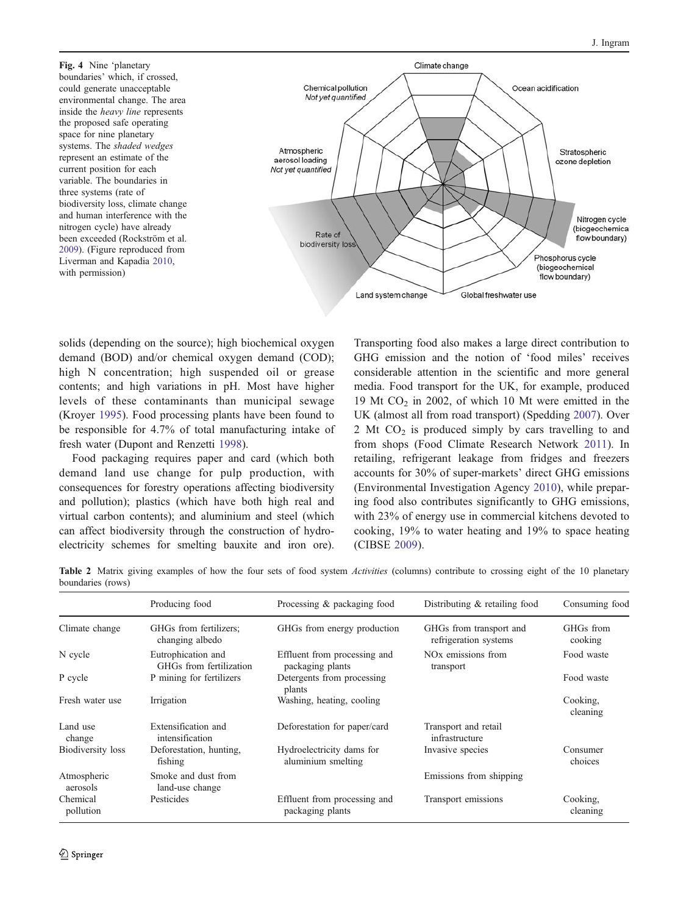<span id="page-9-0"></span>

solids (depending on the source); high biochemical oxygen demand (BOD) and/or chemical oxygen demand (COD); high N concentration; high suspended oil or grease contents; and high variations in pH. Most have higher levels of these contaminants than municipal sewage (Kroyer [1995\)](#page-13-0). Food processing plants have been found to be responsible for 4.7% of total manufacturing intake of fresh water (Dupont and Renzetti [1998](#page-12-0)).

Food packaging requires paper and card (which both demand land use change for pulp production, with consequences for forestry operations affecting biodiversity and pollution); plastics (which have both high real and virtual carbon contents); and aluminium and steel (which can affect biodiversity through the construction of hydroelectricity schemes for smelting bauxite and iron ore).

Transporting food also makes a large direct contribution to GHG emission and the notion of 'food miles' receives considerable attention in the scientific and more general media. Food transport for the UK, for example, produced 19 Mt  $CO<sub>2</sub>$  in 2002, of which 10 Mt were emitted in the UK (almost all from road transport) (Spedding [2007\)](#page-13-0). Over 2 Mt  $CO<sub>2</sub>$  is produced simply by cars travelling to and from shops (Food Climate Research Network [2011](#page-12-0)). In retailing, refrigerant leakage from fridges and freezers accounts for 30% of super-markets' direct GHG emissions (Environmental Investigation Agency [2010\)](#page-12-0), while preparing food also contributes significantly to GHG emissions, with 23% of energy use in commercial kitchens devoted to cooking, 19% to water heating and 19% to space heating (CIBSE [2009](#page-12-0)).

Table 2 Matrix giving examples of how the four sets of food system Activities (columns) contribute to crossing eight of the 10 planetary boundaries (rows)

|                          | Producing food                                | Processing & packaging food                      | Distributing $&$ retailing food                  | Consuming food       |
|--------------------------|-----------------------------------------------|--------------------------------------------------|--------------------------------------------------|----------------------|
| Climate change           | GHGs from fertilizers;<br>changing albedo     | GHGs from energy production                      | GHGs from transport and<br>refrigeration systems | GHGs from<br>cooking |
| N cycle                  | Eutrophication and<br>GHGs from fertilization | Effluent from processing and<br>packaging plants | NO <sub>x</sub> emissions from<br>transport      | Food waste           |
| P cycle                  | P mining for fertilizers                      | Detergents from processing<br>plants             |                                                  | Food waste           |
| Fresh water use          | Irrigation                                    | Washing, heating, cooling                        |                                                  | Cooking.<br>cleaning |
| Land use<br>change       | Extensification and<br>intensification        | Deforestation for paper/card                     | Transport and retail<br>infrastructure           |                      |
| <b>Biodiversity</b> loss | Deforestation, hunting,<br>fishing            | Hydroelectricity dams for<br>aluminium smelting  | Invasive species                                 | Consumer<br>choices  |
| Atmospheric<br>aerosols  | Smoke and dust from<br>land-use change        |                                                  | Emissions from shipping                          |                      |
| Chemical<br>pollution    | Pesticides                                    | Effluent from processing and<br>packaging plants | Transport emissions                              | Cooking,<br>cleaning |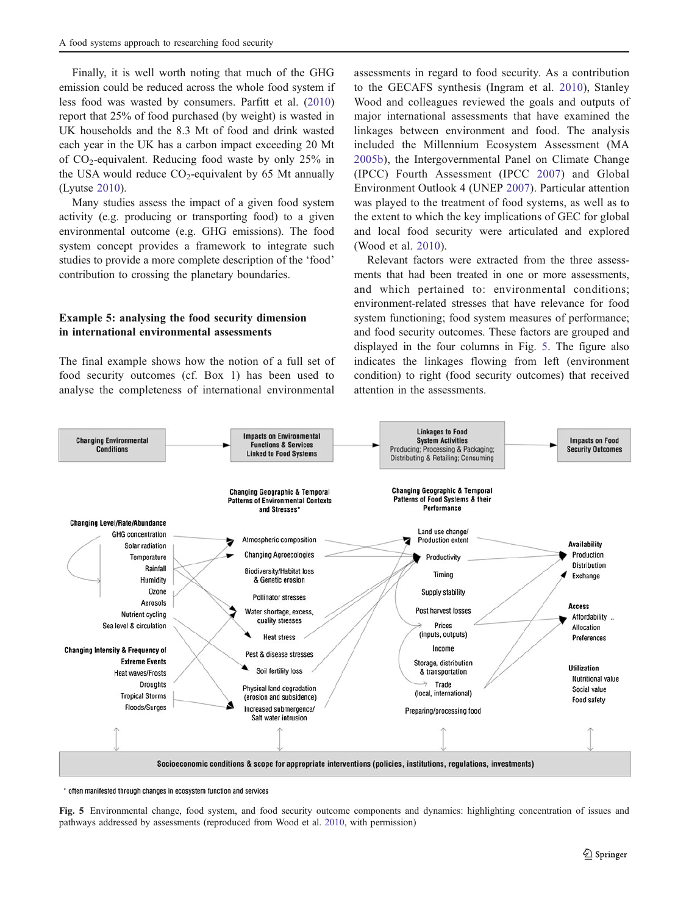<span id="page-10-0"></span>Finally, it is well worth noting that much of the GHG emission could be reduced across the whole food system if less food was wasted by consumers. Parfitt et al. ([2010\)](#page-13-0) report that 25% of food purchased (by weight) is wasted in UK households and the 8.3 Mt of food and drink wasted each year in the UK has a carbon impact exceeding 20 Mt of  $CO_2$ -equivalent. Reducing food waste by only 25% in the USA would reduce  $CO_2$ -equivalent by 65 Mt annually (Lyutse [2010\)](#page-13-0).

Many studies assess the impact of a given food system activity (e.g. producing or transporting food) to a given environmental outcome (e.g. GHG emissions). The food system concept provides a framework to integrate such studies to provide a more complete description of the 'food' contribution to crossing the planetary boundaries.

## Example 5: analysing the food security dimension in international environmental assessments

The final example shows how the notion of a full set of food security outcomes (cf. Box 1) has been used to analyse the completeness of international environmental

assessments in regard to food security. As a contribution to the GECAFS synthesis (Ingram et al. [2010](#page-13-0)), Stanley Wood and colleagues reviewed the goals and outputs of major international assessments that have examined the linkages between environment and food. The analysis included the Millennium Ecosystem Assessment (MA [2005b\)](#page-13-0), the Intergovernmental Panel on Climate Change (IPCC) Fourth Assessment (IPCC [2007](#page-13-0)) and Global Environment Outlook 4 (UNEP [2007](#page-13-0)). Particular attention was played to the treatment of food systems, as well as to the extent to which the key implications of GEC for global and local food security were articulated and explored (Wood et al. [2010\)](#page-13-0).

Relevant factors were extracted from the three assessments that had been treated in one or more assessments, and which pertained to: environmental conditions; environment-related stresses that have relevance for food system functioning; food system measures of performance; and food security outcomes. These factors are grouped and displayed in the four columns in Fig. 5. The figure also indicates the linkages flowing from left (environment condition) to right (food security outcomes) that received attention in the assessments.



\* often manifested through changes in ecosystem function and services

Fig. 5 Environmental change, food system, and food security outcome components and dynamics: highlighting concentration of issues and pathways addressed by assessments (reproduced from Wood et al. [2010,](#page-13-0) with permission)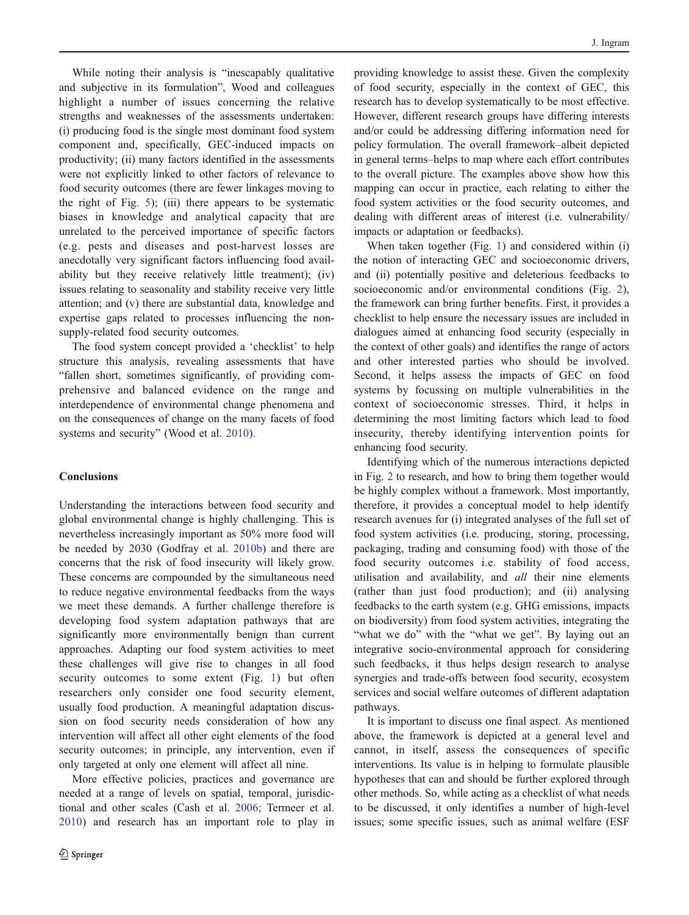While noting their analysis is "inescapably qualitative and subjective in its formulation", Wood and colleagues highlight a number of issues concerning the relative strengths and weaknesses of the assessments undertaken: (i) producing food is the single most dominant food system component and, specifically, GEC-induced impacts on productivity; (ii) many factors identified in the assessments were not explicitly linked to other factors of relevance to food security outcomes (there are fewer linkages moving to the right of Fig. [5](#page-10-0)); (iii) there appears to be systematic biases in knowledge and analytical capacity that are unrelated to the perceived importance of specific factors (e.g. pests and diseases and post-harvest losses are anecdotally very significant factors influencing food availability but they receive relatively little treatment); (iv) issues relating to seasonality and stability receive very little attention; and (v) there are substantial data, knowledge and expertise gaps related to processes influencing the nonsupply-related food security outcomes.

The food system concept provided a 'checklist' to help structure this analysis, revealing assessments that have "fallen short, sometimes significantly, of providing comprehensive and balanced evidence on the range and interdependence of environmental change phenomena and on the consequences of change on the many facets of food systems and security" (Wood et al. [2010](#page-13-0)).

## Conclusions

Understanding the interactions between food security and global environmental change is highly challenging. This is nevertheless increasingly important as 50% more food will be needed by 2030 (Godfray et al. [2010b\)](#page-12-0) and there are concerns that the risk of food insecurity will likely grow. These concerns are compounded by the simultaneous need to reduce negative environmental feedbacks from the ways we meet these demands. A further challenge therefore is developing food system adaptation pathways that are significantly more environmentally benign than current approaches. Adapting our food system activities to meet these challenges will give rise to changes in all food security outcomes to some extent (Fig. [1](#page-4-0)) but often researchers only consider one food security element, usually food production. A meaningful adaptation discussion on food security needs consideration of how any intervention will affect all other eight elements of the food security outcomes; in principle, any intervention, even if only targeted at only one element will affect all nine.

More effective policies, practices and governance are needed at a range of levels on spatial, temporal, jurisdictional and other scales (Cash et al. [2006](#page-12-0); Termeer et al. [2010](#page-13-0)) and research has an important role to play in

providing knowledge to assist these. Given the complexity of food security, especially in the context of GEC, this research has to develop systematically to be most effective. However, different research groups have differing interests and/or could be addressing differing information need for policy formulation. The overall framework–albeit depicted in general terms–helps to map where each effort contributes to the overall picture. The examples above show how this mapping can occur in practice, each relating to either the food system activities or the food security outcomes, and dealing with different areas of interest (i.e. vulnerability/ impacts or adaptation or feedbacks).

When taken together (Fig. [1](#page-4-0)) and considered within (i) the notion of interacting GEC and socioeconomic drivers, and (ii) potentially positive and deleterious feedbacks to socioeconomic and/or environmental conditions (Fig. [2\)](#page-4-0), the framework can bring further benefits. First, it provides a checklist to help ensure the necessary issues are included in dialogues aimed at enhancing food security (especially in the context of other goals) and identifies the range of actors and other interested parties who should be involved. Second, it helps assess the impacts of GEC on food systems by focussing on multiple vulnerabilities in the context of socioeconomic stresses. Third, it helps in determining the most limiting factors which lead to food insecurity, thereby identifying intervention points for enhancing food security.

Identifying which of the numerous interactions depicted in Fig. [2](#page-4-0) to research, and how to bring them together would be highly complex without a framework. Most importantly, therefore, it provides a conceptual model to help identify research avenues for (i) integrated analyses of the full set of food system activities (i.e. producing, storing, processing, packaging, trading and consuming food) with those of the food security outcomes i.e. stability of food access, utilisation and availability, and all their nine elements (rather than just food production); and (ii) analysing feedbacks to the earth system (e.g. GHG emissions, impacts on biodiversity) from food system activities, integrating the "what we do" with the "what we get". By laying out an integrative socio-environmental approach for considering such feedbacks, it thus helps design research to analyse synergies and trade-offs between food security, ecosystem services and social welfare outcomes of different adaptation pathways.

It is important to discuss one final aspect. As mentioned above, the framework is depicted at a general level and cannot, in itself, assess the consequences of specific interventions. Its value is in helping to formulate plausible hypotheses that can and should be further explored through other methods. So, while acting as a checklist of what needs to be discussed, it only identifies a number of high-level issues; some specific issues, such as animal welfare (ESF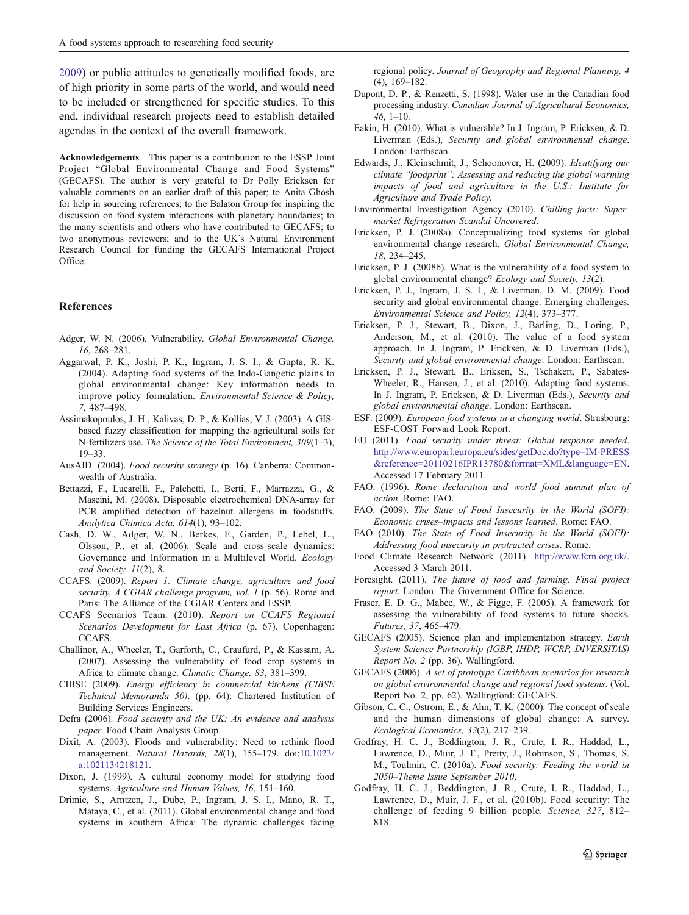<span id="page-12-0"></span>2009) or public attitudes to genetically modified foods, are of high priority in some parts of the world, and would need to be included or strengthened for specific studies. To this end, individual research projects need to establish detailed agendas in the context of the overall framework.

Acknowledgements This paper is a contribution to the ESSP Joint Project "Global Environmental Change and Food Systems" (GECAFS). The author is very grateful to Dr Polly Ericksen for valuable comments on an earlier draft of this paper; to Anita Ghosh for help in sourcing references; to the Balaton Group for inspiring the discussion on food system interactions with planetary boundaries; to the many scientists and others who have contributed to GECAFS; to two anonymous reviewers; and to the UK's Natural Environment Research Council for funding the GECAFS International Project Office.

#### References

- Adger, W. N. (2006). Vulnerability. Global Environmental Change, 16, 268–281.
- Aggarwal, P. K., Joshi, P. K., Ingram, J. S. I., & Gupta, R. K. (2004). Adapting food systems of the Indo-Gangetic plains to global environmental change: Key information needs to improve policy formulation. Environmental Science & Policy, 7, 487–498.
- Assimakopoulos, J. H., Kalivas, D. P., & Kollias, V. J. (2003). A GISbased fuzzy classification for mapping the agricultural soils for N-fertilizers use. The Science of the Total Environment, 309(1–3), 19–33.
- AusAID. (2004). Food security strategy (p. 16). Canberra: Commonwealth of Australia.
- Bettazzi, F., Lucarelli, F., Palchetti, I., Berti, F., Marrazza, G., & Mascini, M. (2008). Disposable electrochemical DNA-array for PCR amplified detection of hazelnut allergens in foodstuffs. Analytica Chimica Acta, 614(1), 93–102.
- Cash, D. W., Adger, W. N., Berkes, F., Garden, P., Lebel, L., Olsson, P., et al. (2006). Scale and cross-scale dynamics: Governance and Information in a Multilevel World. Ecology and Society, 11(2), 8.
- CCAFS. (2009). Report 1: Climate change, agriculture and food security. A CGIAR challenge program, vol. 1 (p. 56). Rome and Paris: The Alliance of the CGIAR Centers and ESSP.
- CCAFS Scenarios Team. (2010). Report on CCAFS Regional Scenarios Development for East Africa (p. 67). Copenhagen: CCAFS.
- Challinor, A., Wheeler, T., Garforth, C., Craufurd, P., & Kassam, A. (2007). Assessing the vulnerability of food crop systems in Africa to climate change. Climatic Change, 83, 381–399.
- CIBSE (2009). Energy efficiency in commercial kitchens (CIBSE Technical Memoranda 50). (pp. 64): Chartered Institution of Building Services Engineers.
- Defra (2006). Food security and the UK: An evidence and analysis paper. Food Chain Analysis Group.
- Dixit, A. (2003). Floods and vulnerability: Need to rethink flood management. Natural Hazards, 28(1), 155–179. doi[:10.1023/](http://dx.doi.org/10.1023/a:1021134218121) [a:1021134218121.](http://dx.doi.org/10.1023/a:1021134218121)
- Dixon, J. (1999). A cultural economy model for studying food systems. Agriculture and Human Values, 16, 151–160.
- Drimie, S., Arntzen, J., Dube, P., Ingram, J. S. I., Mano, R. T., Mataya, C., et al. (2011). Global environmental change and food systems in southern Africa: The dynamic challenges facing

regional policy. Journal of Geography and Regional Planning, 4 (4), 169–182.

- Dupont, D. P., & Renzetti, S. (1998). Water use in the Canadian food processing industry. Canadian Journal of Agricultural Economics,  $46, 1-10.$
- Eakin, H. (2010). What is vulnerable? In J. Ingram, P. Ericksen, & D. Liverman (Eds.), Security and global environmental change. London: Earthscan.
- Edwards, J., Kleinschmit, J., Schoonover, H. (2009). Identifying our climate "foodprint": Assessing and reducing the global warming impacts of food and agriculture in the U.S.: Institute for Agriculture and Trade Policy.
- Environmental Investigation Agency (2010). Chilling facts: Supermarket Refrigeration Scandal Uncovered.
- Ericksen, P. J. (2008a). Conceptualizing food systems for global environmental change research. Global Environmental Change, 18, 234–245.
- Ericksen, P. J. (2008b). What is the vulnerability of a food system to global environmental change? Ecology and Society, 13(2).
- Ericksen, P. J., Ingram, J. S. I., & Liverman, D. M. (2009). Food security and global environmental change: Emerging challenges. Environmental Science and Policy, 12(4), 373–377.
- Ericksen, P. J., Stewart, B., Dixon, J., Barling, D., Loring, P., Anderson, M., et al. (2010). The value of a food system approach. In J. Ingram, P. Ericksen, & D. Liverman (Eds.), Security and global environmental change. London: Earthscan.
- Ericksen, P. J., Stewart, B., Eriksen, S., Tschakert, P., Sabates-Wheeler, R., Hansen, J., et al. (2010). Adapting food systems. In J. Ingram, P. Ericksen, & D. Liverman (Eds.), Security and global environmental change. London: Earthscan.
- ESF. (2009). European food systems in a changing world. Strasbourg: ESF-COST Forward Look Report.
- EU (2011). Food security under threat: Global response needed. [http://www.europarl.europa.eu/sides/getDoc.do?type=IM-PRESS](http://www.europarl.europa.eu/sides/getDoc.do?type=IM-PRESS&reference=20110216IPR13780&format=XML&language=EN) [&reference=20110216IPR13780&format=XML&language=EN](http://www.europarl.europa.eu/sides/getDoc.do?type=IM-PRESS&reference=20110216IPR13780&format=XML&language=EN). Accessed 17 February 2011.
- FAO. (1996). Rome declaration and world food summit plan of action. Rome: FAO.
- FAO. (2009). The State of Food Insecurity in the World (SOFI): Economic crises–impacts and lessons learned. Rome: FAO.
- FAO (2010). The State of Food Insecurity in the World (SOFI): Addressing food insecurity in protracted crises. Rome.
- Food Climate Research Network (2011). <http://www.fcrn.org.uk/>. Accessed 3 March 2011.
- Foresight. (2011). The future of food and farming. Final project report. London: The Government Office for Science.
- Fraser, E. D. G., Mabee, W., & Figge, F. (2005). A framework for assessing the vulnerability of food systems to future shocks. Futures, 37, 465–479.
- GECAFS (2005). Science plan and implementation strategy. Earth System Science Partnership (IGBP, IHDP, WCRP, DIVERSITAS) Report No. 2 (pp. 36). Wallingford.
- GECAFS (2006). A set of prototype Caribbean scenarios for research on global environmental change and regional food systems. (Vol. Report No. 2, pp. 62). Wallingford: GECAFS.
- Gibson, C. C., Ostrom, E., & Ahn, T. K. (2000). The concept of scale and the human dimensions of global change: A survey. Ecological Economics, 32(2), 217–239.
- Godfray, H. C. J., Beddington, J. R., Crute, I. R., Haddad, L., Lawrence, D., Muir, J. F., Pretty, J., Robinson, S., Thomas, S. M., Toulmin, C. (2010a). Food security: Feeding the world in 2050–Theme Issue September 2010.
- Godfray, H. C. J., Beddington, J. R., Crute, I. R., Haddad, L., Lawrence, D., Muir, J. F., et al. (2010b). Food security: The challenge of feeding 9 billion people. Science, 327, 812– 818.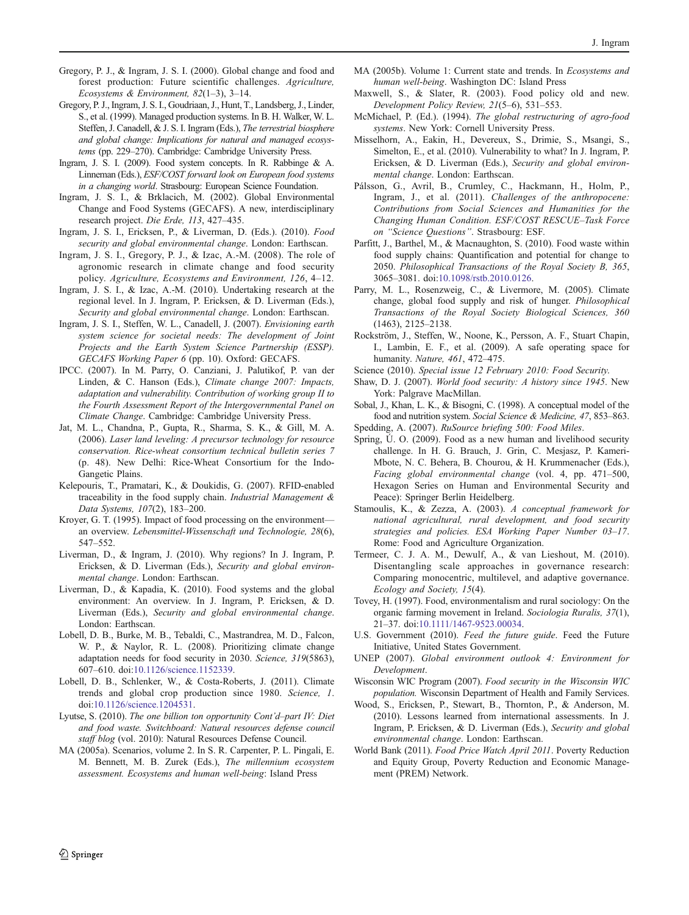- <span id="page-13-0"></span>Gregory, P. J., & Ingram, J. S. I. (2000). Global change and food and forest production: Future scientific challenges. Agriculture, Ecosystems & Environment, 82(1–3), 3–14.
- Gregory, P. J., Ingram, J. S. I., Goudriaan, J., Hunt, T., Landsberg, J., Linder, S., et al. (1999). Managed production systems. In B. H. Walker, W. L. Steffen, J. Canadell, & J. S. I. Ingram (Eds.), The terrestrial biosphere and global change: Implications for natural and managed ecosystems (pp. 229–270). Cambridge: Cambridge University Press.
- Ingram, J. S. I. (2009). Food system concepts. In R. Rabbinge & A. Linneman (Eds.), ESF/COST forward look on European food systems in a changing world. Strasbourg: European Science Foundation.
- Ingram, J. S. I., & Brklacich, M. (2002). Global Environmental Change and Food Systems (GECAFS). A new, interdisciplinary research project. Die Erde, 113, 427–435.
- Ingram, J. S. I., Ericksen, P., & Liverman, D. (Eds.). (2010). Food security and global environmental change. London: Earthscan.
- Ingram, J. S. I., Gregory, P. J., & Izac, A.-M. (2008). The role of agronomic research in climate change and food security policy. Agriculture, Ecosystems and Environment, 126, 4–12.
- Ingram, J. S. I., & Izac, A.-M. (2010). Undertaking research at the regional level. In J. Ingram, P. Ericksen, & D. Liverman (Eds.), Security and global environmental change. London: Earthscan.
- Ingram, J. S. I., Steffen, W. L., Canadell, J. (2007). Envisioning earth system science for societal needs: The development of Joint Projects and the Earth System Science Partnership (ESSP). GECAFS Working Paper 6 (pp. 10). Oxford: GECAFS.
- IPCC. (2007). In M. Parry, O. Canziani, J. Palutikof, P. van der Linden, & C. Hanson (Eds.), Climate change 2007: Impacts, adaptation and vulnerability. Contribution of working group II to the Fourth Assessment Report of the Intergovernmental Panel on Climate Change. Cambridge: Cambridge University Press.
- Jat, M. L., Chandna, P., Gupta, R., Sharma, S. K., & Gill, M. A. (2006). Laser land leveling: A precursor technology for resource conservation. Rice-wheat consortium technical bulletin series 7 (p. 48). New Delhi: Rice-Wheat Consortium for the Indo-Gangetic Plains.
- Kelepouris, T., Pramatari, K., & Doukidis, G. (2007). RFID-enabled traceability in the food supply chain. Industrial Management & Data Systems, 107(2), 183–200.
- Kroyer, G. T. (1995). Impact of food processing on the environment an overview. Lebensmittel-Wissenschaft und Technologie, 28(6), 547–552.
- Liverman, D., & Ingram, J. (2010). Why regions? In J. Ingram, P. Ericksen, & D. Liverman (Eds.), Security and global environmental change. London: Earthscan.
- Liverman, D., & Kapadia, K. (2010). Food systems and the global environment: An overview. In J. Ingram, P. Ericksen, & D. Liverman (Eds.), Security and global environmental change. London: Earthscan.
- Lobell, D. B., Burke, M. B., Tebaldi, C., Mastrandrea, M. D., Falcon, W. P., & Naylor, R. L. (2008). Prioritizing climate change adaptation needs for food security in 2030. Science, 319(5863), 607–610. doi:[10.1126/science.1152339](http://dx.doi.org/10.1126/science.1152339).
- Lobell, D. B., Schlenker, W., & Costa-Roberts, J. (2011). Climate trends and global crop production since 1980. Science, 1. doi[:10.1126/science.1204531.](http://dx.doi.org/10.1126/science.1204531)
- Lyutse, S. (2010). The one billion ton opportunity Cont'd–part IV: Diet and food waste. Switchboard: Natural resources defense council staff blog (vol. 2010): Natural Resources Defense Council.
- MA (2005a). Scenarios, volume 2. In S. R. Carpenter, P. L. Pingali, E. M. Bennett, M. B. Zurek (Eds.), The millennium ecosystem assessment. Ecosystems and human well-being: Island Press
- MA (2005b). Volume 1: Current state and trends. In Ecosystems and human well-being. Washington DC: Island Press
- Maxwell, S., & Slater, R. (2003). Food policy old and new. Development Policy Review, 21(5–6), 531–553.
- McMichael, P. (Ed.). (1994). The global restructuring of agro-food systems. New York: Cornell University Press.
- Misselhorn, A., Eakin, H., Devereux, S., Drimie, S., Msangi, S., Simelton, E., et al. (2010). Vulnerability to what? In J. Ingram, P. Ericksen, & D. Liverman (Eds.), Security and global environmental change. London: Earthscan.
- Pálsson, G., Avril, B., Crumley, C., Hackmann, H., Holm, P., Ingram, J., et al. (2011). Challenges of the anthropocene: Contributions from Social Sciences and Humanities for the Changing Human Condition. ESF/COST RESCUE–Task Force on "Science Questions". Strasbourg: ESF.
- Parfitt, J., Barthel, M., & Macnaughton, S. (2010). Food waste within food supply chains: Quantification and potential for change to 2050. Philosophical Transactions of the Royal Society B, 365, 3065–3081. doi[:10.1098/rstb.2010.0126.](http://dx.doi.org/10.1098/rstb.2010.0126)
- Parry, M. L., Rosenzweig, C., & Livermore, M. (2005). Climate change, global food supply and risk of hunger. Philosophical Transactions of the Royal Society Biological Sciences, 360 (1463), 2125–2138.
- Rockström, J., Steffen, W., Noone, K., Persson, A. F., Stuart Chapin, I., Lambin, E. F., et al. (2009). A safe operating space for humanity. Nature, 461, 472–475.
- Science (2010). Special issue 12 February 2010: Food Security.
- Shaw, D. J. (2007). World food security: A history since 1945. New York: Palgrave MacMillan.
- Sobal, J., Khan, L. K., & Bisogni, C. (1998). A conceptual model of the food and nutrition system. Social Science & Medicine, 47, 853–863. Spedding, A. (2007). RuSource briefing 500: Food Miles.
- 
- Spring, Ú. O. (2009). Food as a new human and livelihood security challenge. In H. G. Brauch, J. Grin, C. Mesjasz, P. Kameri-Mbote, N. C. Behera, B. Chourou, & H. Krummenacher (Eds.), Facing global environmental change (vol. 4, pp. 471–500, Hexagon Series on Human and Environmental Security and Peace): Springer Berlin Heidelberg.
- Stamoulis, K., & Zezza, A. (2003). A conceptual framework for national agricultural, rural development, and food security strategies and policies. ESA Working Paper Number 03–17. Rome: Food and Agriculture Organization.
- Termeer, C. J. A. M., Dewulf, A., & van Lieshout, M. (2010). Disentangling scale approaches in governance research: Comparing monocentric, multilevel, and adaptive governance. Ecology and Society, 15(4).
- Tovey, H. (1997). Food, environmentalism and rural sociology: On the organic farming movement in Ireland. Sociologia Ruralis, 37(1), 21–37. doi[:10.1111/1467-9523.00034](http://dx.doi.org/10.1111/1467-9523.00034).
- U.S. Government (2010). Feed the future guide. Feed the Future Initiative, United States Government.
- UNEP (2007). Global environment outlook 4: Environment for Development.
- Wisconsin WIC Program (2007). Food security in the Wisconsin WIC population. Wisconsin Department of Health and Family Services.
- Wood, S., Ericksen, P., Stewart, B., Thornton, P., & Anderson, M. (2010). Lessons learned from international assessments. In J. Ingram, P. Ericksen, & D. Liverman (Eds.), Security and global environmental change. London: Earthscan.
- World Bank (2011). Food Price Watch April 2011. Poverty Reduction and Equity Group, Poverty Reduction and Economic Management (PREM) Network.